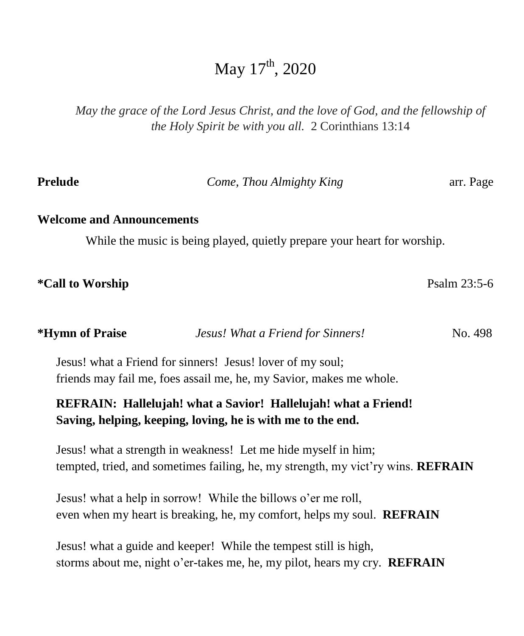# May  $17<sup>th</sup>$ , 2020

*May the grace of the Lord Jesus Christ, and the love of God, and the fellowship of the Holy Spirit be with you all.* 2 Corinthians 13:14

| <b>Prelude</b>                                                                                                                                     | Come, Thou Almighty King                                                                                                                       |              |  |  |
|----------------------------------------------------------------------------------------------------------------------------------------------------|------------------------------------------------------------------------------------------------------------------------------------------------|--------------|--|--|
| <b>Welcome and Announcements</b>                                                                                                                   | While the music is being played, quietly prepare your heart for worship.                                                                       |              |  |  |
| <i><b>*Call to Worship</b></i>                                                                                                                     |                                                                                                                                                | Psalm 23:5-6 |  |  |
| <i><b>*Hymn of Praise</b></i>                                                                                                                      | Jesus! What a Friend for Sinners!                                                                                                              | No. 498      |  |  |
|                                                                                                                                                    | Jesus! what a Friend for sinners! Jesus! lover of my soul;<br>friends may fail me, foes assail me, he, my Savior, makes me whole.              |              |  |  |
|                                                                                                                                                    | REFRAIN: Hallelujah! what a Savior! Hallelujah! what a Friend!<br>Saving, helping, keeping, loving, he is with me to the end.                  |              |  |  |
| Jesus! what a strength in weakness! Let me hide myself in him;<br>tempted, tried, and sometimes failing, he, my strength, my vict'ry wins. REFRAIN |                                                                                                                                                |              |  |  |
|                                                                                                                                                    | Jesus! what a help in sorrow! While the billows o'er me roll,<br>even when my heart is breaking, he, my comfort, helps my soul. <b>REFRAIN</b> |              |  |  |
|                                                                                                                                                    | Jesus! what a guide and keeper! While the tempest still is high,<br>storms about me, night o'er-takes me, he, my pilot, hears my cry. REFRAIN  |              |  |  |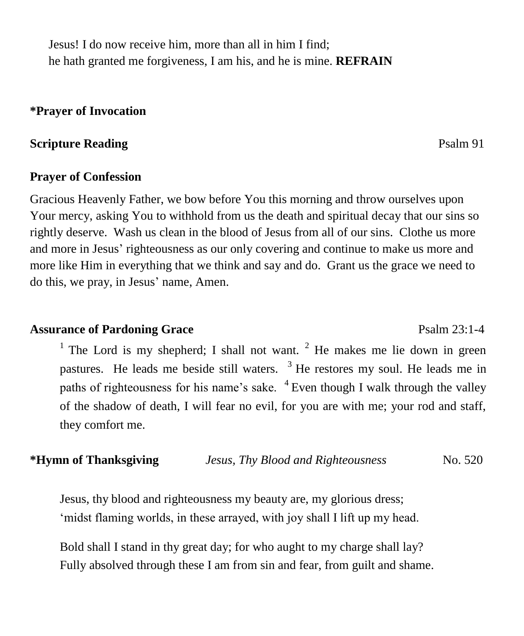Jesus! I do now receive him, more than all in him I find; he hath granted me forgiveness, I am his, and he is mine. **REFRAIN**

#### **\*Prayer of Invocation**

## **Scripture Reading** Psalm 91

#### **Prayer of Confession**

Gracious Heavenly Father, we bow before You this morning and throw ourselves upon Your mercy, asking You to withhold from us the death and spiritual decay that our sins so rightly deserve. Wash us clean in the blood of Jesus from all of our sins. Clothe us more and more in Jesus' righteousness as our only covering and continue to make us more and more like Him in everything that we think and say and do. Grant us the grace we need to do this, we pray, in Jesus' name, Amen.

### Assurance of Pardoning Grace Psalm 23:1-4

<sup>1</sup> The Lord is my shepherd; I shall not want. <sup>2</sup> He makes me lie down in green pastures. He leads me beside still waters.  $3$  He restores my soul. He leads me in paths of righteousness for his name's sake.  $4$  Even though I walk through the valley of the shadow of death, I will fear no evil, for you are with me; your rod and staff, they comfort me.

### **\*Hymn of Thanksgiving** *Jesus, Thy Blood and Righteousness* No. 520

Jesus, thy blood and righteousness my beauty are, my glorious dress; 'midst flaming worlds, in these arrayed, with joy shall I lift up my head.

Bold shall I stand in thy great day; for who aught to my charge shall lay? Fully absolved through these I am from sin and fear, from guilt and shame.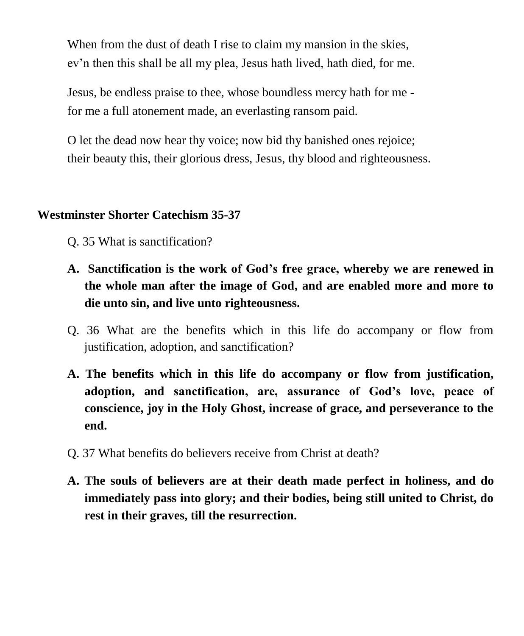When from the dust of death I rise to claim my mansion in the skies, ev'n then this shall be all my plea, Jesus hath lived, hath died, for me.

Jesus, be endless praise to thee, whose boundless mercy hath for me for me a full atonement made, an everlasting ransom paid.

O let the dead now hear thy voice; now bid thy banished ones rejoice; their beauty this, their glorious dress, Jesus, thy blood and righteousness.

### **Westminster Shorter Catechism 35-37**

Q. 35 What is sanctification?

- **A. Sanctification is the work of God's free grace, whereby we are renewed in the whole man after the image of God, and are enabled more and more to die unto sin, and live unto righteousness.**
- Q. 36 What are the benefits which in this life do accompany or flow from justification, adoption, and sanctification?
- **A. The benefits which in this life do accompany or flow from justification, adoption, and sanctification, are, assurance of God's love, peace of conscience, joy in the Holy Ghost, increase of grace, and perseverance to the end.**
- Q. 37 What benefits do believers receive from Christ at death?
- **A. The souls of believers are at their death made perfect in holiness, and do immediately pass into glory; and their bodies, being still united to Christ, do rest in their graves, till the resurrection.**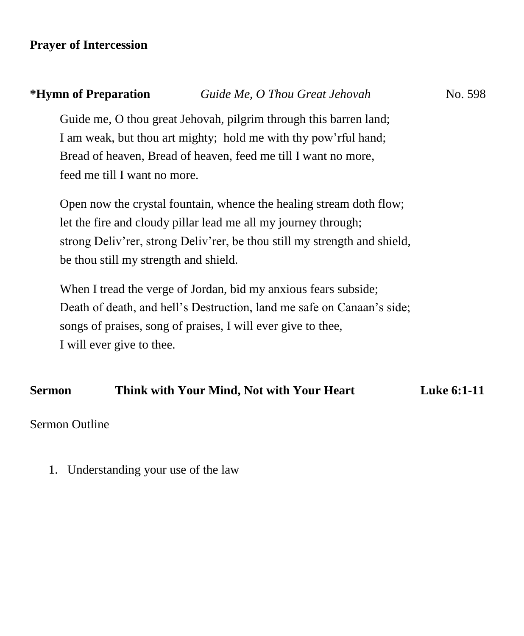# **Prayer of Intercession**

| *Hymn of Preparation                  | Guide Me, O Thou Great Jehovah                                            | No. 598 |
|---------------------------------------|---------------------------------------------------------------------------|---------|
|                                       | Guide me, O thou great Jehovah, pilgrim through this barren land;         |         |
|                                       | I am weak, but thou art mighty; hold me with thy pow'rful hand;           |         |
|                                       | Bread of heaven, Bread of heaven, feed me till I want no more,            |         |
| feed me till I want no more.          |                                                                           |         |
|                                       | Open now the crystal fountain, whence the healing stream doth flow;       |         |
|                                       | let the fire and cloudy pillar lead me all my journey through;            |         |
|                                       | strong Deliv'rer, strong Deliv'rer, be thou still my strength and shield, |         |
| be thou still my strength and shield. |                                                                           |         |
|                                       | When I tread the verge of Jordan, bid my anxious fears subside;           |         |
|                                       | Death of death, and hell's Destruction, land me safe on Canaan's side;    |         |
|                                       | songs of praises, song of praises, I will ever give to thee,              |         |
| I will ever give to thee.             |                                                                           |         |
|                                       |                                                                           |         |

## **Sermon Think with Your Mind, Not with Your Heart Luke 6:1-11**

Sermon Outline

1. Understanding your use of the law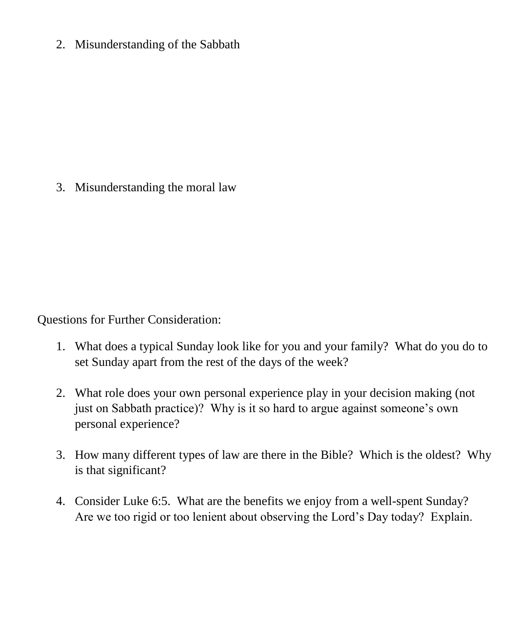2. Misunderstanding of the Sabbath

3. Misunderstanding the moral law

Questions for Further Consideration:

- 1. What does a typical Sunday look like for you and your family? What do you do to set Sunday apart from the rest of the days of the week?
- 2. What role does your own personal experience play in your decision making (not just on Sabbath practice)? Why is it so hard to argue against someone's own personal experience?
- 3. How many different types of law are there in the Bible? Which is the oldest? Why is that significant?
- 4. Consider Luke 6:5. What are the benefits we enjoy from a well-spent Sunday? Are we too rigid or too lenient about observing the Lord's Day today? Explain.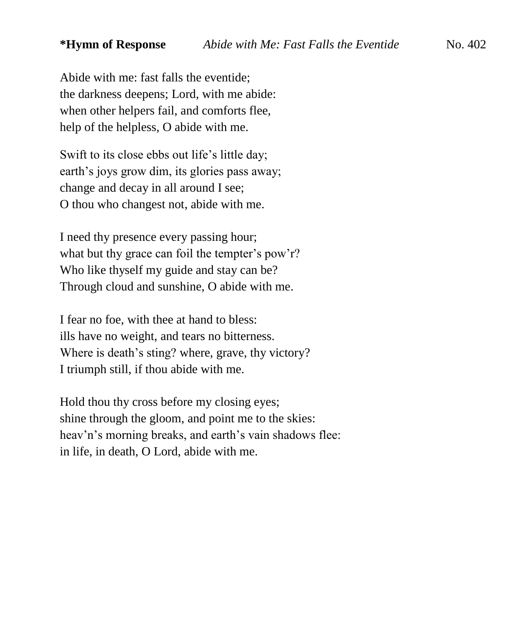Abide with me: fast falls the eventide; the darkness deepens; Lord, with me abide: when other helpers fail, and comforts flee, help of the helpless, O abide with me.

Swift to its close ebbs out life's little day; earth's joys grow dim, its glories pass away; change and decay in all around I see; O thou who changest not, abide with me.

I need thy presence every passing hour; what but thy grace can foil the tempter's pow'r? Who like thyself my guide and stay can be? Through cloud and sunshine, O abide with me.

I fear no foe, with thee at hand to bless: ills have no weight, and tears no bitterness. Where is death's sting? where, grave, thy victory? I triumph still, if thou abide with me.

Hold thou thy cross before my closing eyes; shine through the gloom, and point me to the skies: heav'n's morning breaks, and earth's vain shadows flee: in life, in death, O Lord, abide with me.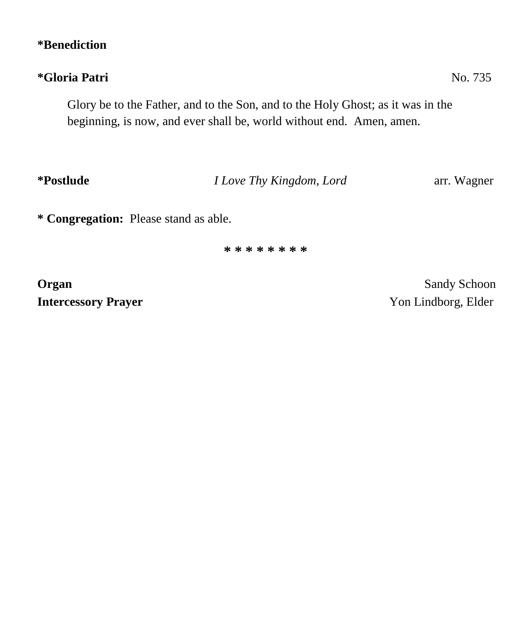# **\*Benediction**

# **\*Gloria Patri** No. 735

Glory be to the Father, and to the Son, and to the Holy Ghost; as it was in the beginning, is now, and ever shall be, world without end. Amen, amen.

**\*Postlude** *I Love Thy Kingdom, Lord* arr. Wagner

**\* Congregation:** Please stand as able.

**\* \* \* \* \* \* \* \***

**Intercessory Prayer** Yon Lindborg, Elder

**Organ** Sandy Schoon Sandy Schoon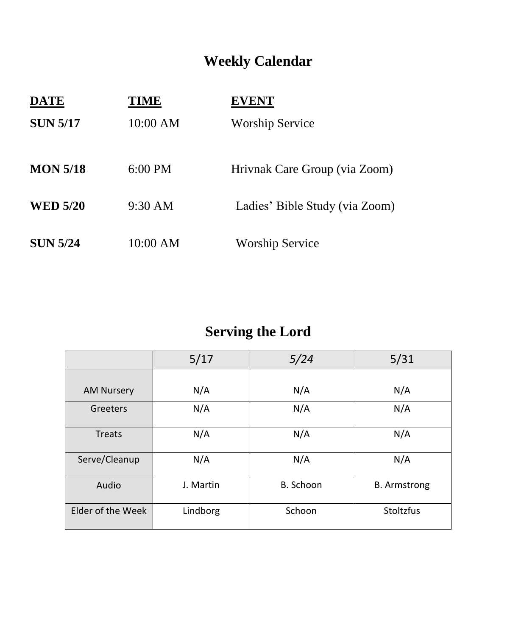# **Weekly Calendar**

| <b>DATE</b>     | TIME              | <b>EVENT</b>                   |
|-----------------|-------------------|--------------------------------|
| <b>SUN 5/17</b> | 10:00 AM          | <b>Worship Service</b>         |
| <b>MON 5/18</b> | $6:00 \text{ PM}$ | Hrivnak Care Group (via Zoom)  |
| <b>WED 5/20</b> | $9:30 \text{ AM}$ | Ladies' Bible Study (via Zoom) |
| <b>SUN 5/24</b> | 10:00 AM          | <b>Worship Service</b>         |

# **Serving the Lord**

|                   | 5/17      | 5/24      | 5/31                |
|-------------------|-----------|-----------|---------------------|
|                   |           |           |                     |
| <b>AM Nursery</b> | N/A       | N/A       | N/A                 |
| Greeters          | N/A       | N/A       | N/A                 |
| Treats            | N/A       | N/A       | N/A                 |
| Serve/Cleanup     | N/A       | N/A       | N/A                 |
| Audio             | J. Martin | B. Schoon | <b>B.</b> Armstrong |
| Elder of the Week | Lindborg  | Schoon    | Stoltzfus           |